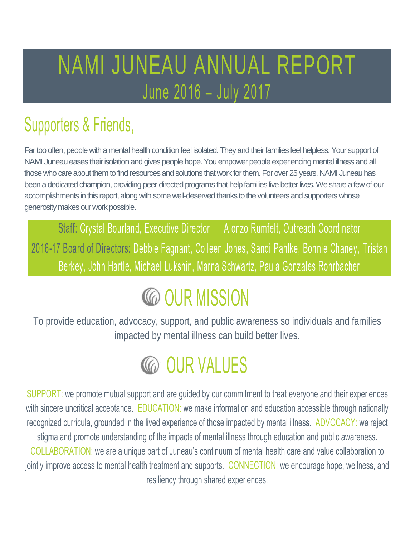### NAMI JUNEAU ANNUAL REPORT June 2016 – July 2017

### Supporters & Friends,

Far too often, people with a mental health condition feel isolated. They and their families feel helpless. Your support of NAMI Juneau eases their isolation and gives people hope. You empower people experiencing mental illness and all those who care about them to find resources and solutions that work for them.For over 25 years, NAMI Juneau has been a dedicated champion, providing peer-directed programs that help families live better lives. We share a few of our accomplishments in this report, along with some well-deserved thanks to the volunteers and supporters whose generosity makes our work possible.

Staff: Crystal Bourland, Executive Director Alonzo Rumfelt, Outreach Coordinator 2016-17 Board of Directors: Debbie Fagnant, Colleen Jones, Sandi Pahlke, Bonnie Chaney, Tristan Berkey, John Hartle, Michael Lukshin, Marna Schwartz, Paula Gonzales Rohrbacher

## **CO OUR MISSION**

To provide education, advocacy, support, and public awareness so individuals and families impacted by mental illness can build better lives.

### **CO OUR VALUES**

SUPPORT: we promote mutual support and are guided by our commitment to treat everyone and their experiences with sincere uncritical acceptance. EDUCATION: we make information and education accessible through nationally recognized curricula, grounded in the lived experience of those impacted by mental illness. ADVOCACY: we reject stigma and promote understanding of the impacts of mental illness through education and public awareness. COLLABORATION: we are a unique part of Juneau's continuum of mental health care and value collaboration to jointly improve access to mental health treatment and supports. CONNECTION: we encourage hope, wellness, and resiliency through shared experiences.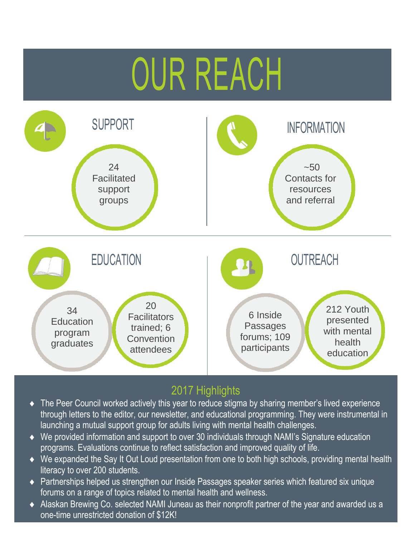## OUR REACH



#### 2017 Highlights

- The Peer Council worked actively this year to reduce stigma by sharing member's lived experience through letters to the editor, our newsletter, and educational programming. They were instrumental in launching a mutual support group for adults living with mental health challenges.
- We provided information and support to over 30 individuals through NAMI's Signature education programs. Evaluations continue to reflect satisfaction and improved quality of life.
- We expanded the Say It Out Loud presentation from one to both high schools, providing mental health literacy to over 200 students.
- ◆ Partnerships helped us strengthen our Inside Passages speaker series which featured six unique forums on a range of topics related to mental health and wellness.
- Alaskan Brewing Co. selected NAMI Juneau as their nonprofit partner of the year and awarded us a one-time unrestricted donation of \$12K!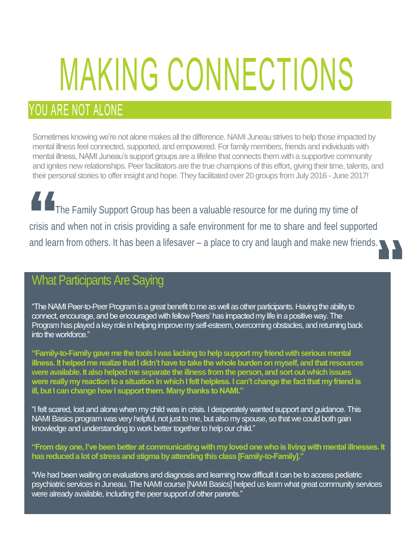# MAKING CONNECTIONS

### YOU ARE NOT ALONE

Sometimes knowing we're not alone makes all the difference. NAMI Juneau strives to help those impacted by mental illness feel connected, supported, and empowered. For family members, friends and individuals with mental illness, NAMI Juneau's support groups are a lifeline that connects them with a supportive community and ignites new relationships. Peer facilitators are the true champions of this effort, giving their time, talents, and their personal stories to offer insight and hope. They facilitated over 20 groups from July 2016 - June 2017!

The Family Support Group has been a valuable resource for me during my time of crisis and when not in crisis providing a safe environment for me to share and feel supported and learn from others. It has been a lifesaver – a place to cry and laugh and make new friends.

#### What Participants Are Saying

"The NAMI Peer-to-Peer Program is a great benefit to me as well as other participants. Having the ability to connect, encourage, and be encouraged with fellow Peers' has impacted my life in a positive way. The Program has played a key role in helping improve my self-esteem, overcoming obstacles, and returning back into the workforce."

**"Family-to-Family gave me the tools I was lacking to help support my friend with serious mental illness. It helped me realize that I didn't have to take the whole burden on myself, and that resources were available. It also helped me separate the illness from the person, and sort out which issues were really my reaction to a situation in which I felt helpless. I can't change the fact that my friend is ill, but I can change how I support them. Many thanks to NAMI."**

"I felt scared, lost and alone when my child was in crisis. I desperately wanted support and guidance. This NAMI Basics program was very helpful, not just to me, but also my spouse, so that we could both gain knowledge and understanding to work better together to help our child."

**"From day one, I've been better at communicating with my loved one who is living with mental illnesses. It has reduced a lot of stress and stigma by attending this class [Family-to-Family]."** 

"We had been waiting on evaluations and diagnosis and learning how difficult it can be to access pediatric psychiatric services in Juneau. The NAMI course [NAMI Basics] helped us learn what great community services were already available, including the peer support of other parents."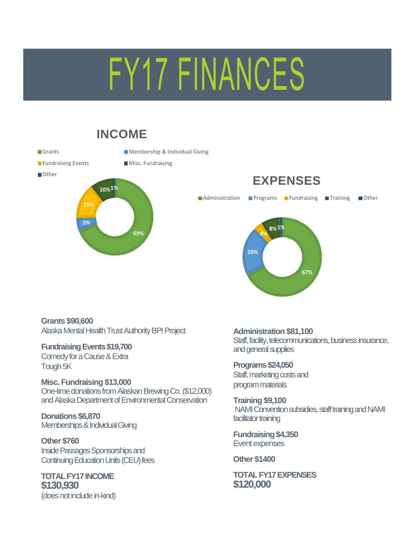## FY17 FINANCES

#### **INCOME**

Grants Membership & Individual Giving

**69%**

**Fundraising Events** Misc. Fundraising



**5%**



**EXPENSES**

**Grants \$90,600** Alaska Mental Health Trust Authority BPI Project

#### **Fundraising Events \$19,700**

Comedy for a Cause & Extra Tough 5K

#### **Misc. Fundraising \$13,000**

One-time donations from Alaskan Brewing Co.(\$12,000) and Alaska Department of Environmental Conservation

**Donations \$6,870** Memberships & Individual Giving

**Other \$760** Inside Passages Sponsorships and Continuing Education Units (CEU) fees

**TOTAL FY17 INCOME \$130,930** (does not include in-kind) **Administration \$81,100** Staff, facility, telecommunications, business insurance, and general supplies

**Programs \$24,050** Staff, marketing costs and program materials

**Training \$9,100** NAMI Convention subsidies, staff training and NAMI facilitator training

**Fundraising \$4,350** Event expenses

**Other \$1400**

**TOTAL FY17 EXPENSES \$120,000**